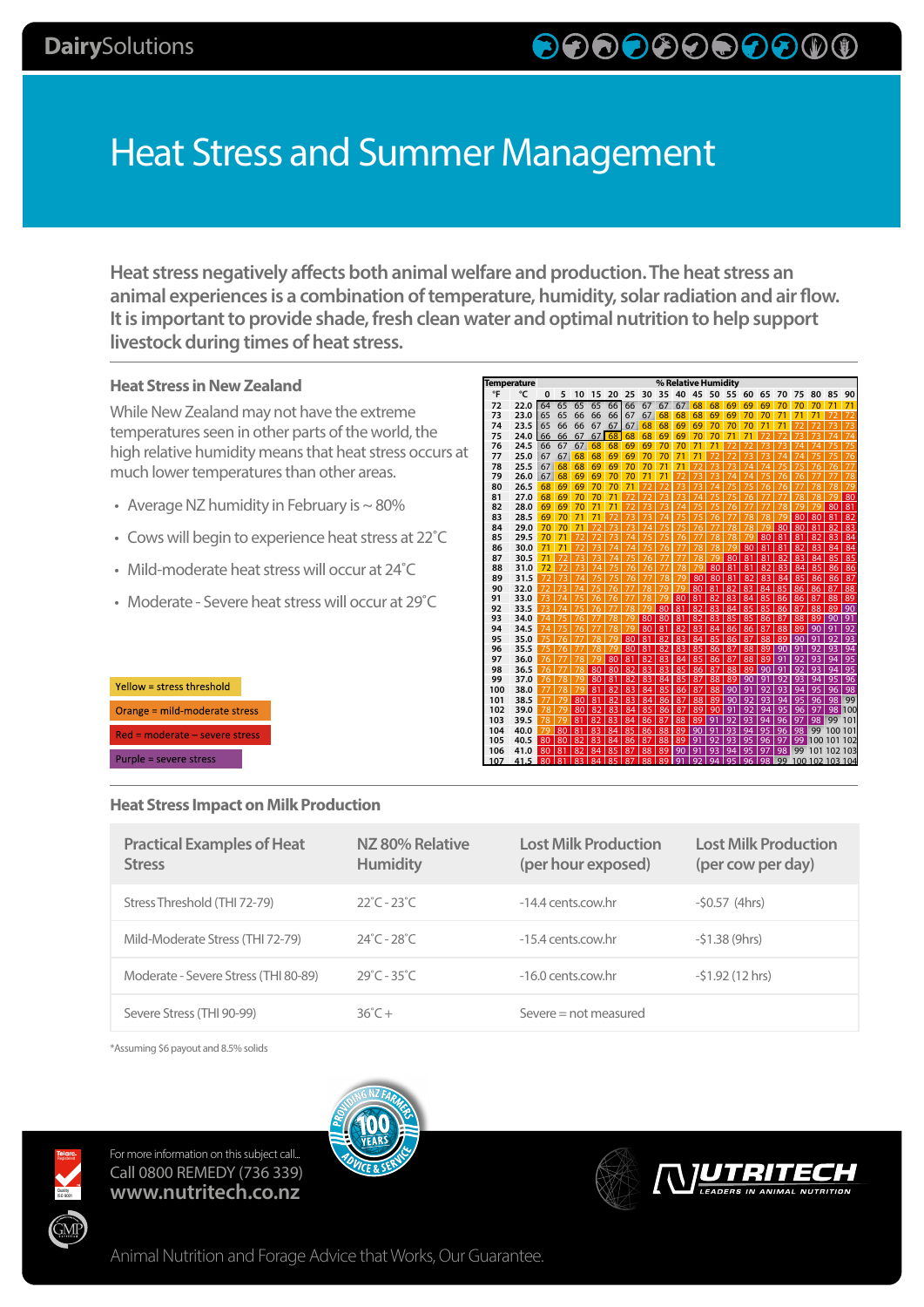# Heat Stress and Summer Management

**Heat stress negatively affects both animal welfare and production. The heat stress an animal experiences is a combination of temperature, humidity, solar radiation and air flow. It is important to provide shade, fresh clean water and optimal nutrition to help support livestock during times of heat stress.** 

## **Heat Stress in New Zealand**

While New Zealand may not have the extreme temperatures seen in other parts of the world, the high relative humidity means that heat stress occurs at much lower temperatures than other areas.

- Average NZ humidity in February is  $\sim$  80%
- Cows will begin to experience heat stress at 22˚C
- Mild-moderate heat stress will occur at 24˚C
- Moderate Severe heat stress will occur at 29˚C

| Yellow = stress threshold      |  |  |  |  |  |  |  |
|--------------------------------|--|--|--|--|--|--|--|
| Orange = mild-moderate stress  |  |  |  |  |  |  |  |
| Red = moderate - severe stress |  |  |  |  |  |  |  |
| Purple = severe stress         |  |  |  |  |  |  |  |

### **Heat Stress Impact on Milk Production**

| Temperature |      |    |    |    |    |    |    |    | % Relative Humidity |    |    |    |    |    |        |                |        |                    |     |     |
|-------------|------|----|----|----|----|----|----|----|---------------------|----|----|----|----|----|--------|----------------|--------|--------------------|-----|-----|
| °F          | °C   | 0  | 5  | 10 | 15 | 20 | 25 | 30 | 35                  | 40 | 45 | 50 | 55 | 60 | 65     | 70             | 75     | 80                 | 85  | 90  |
| 72          | 22.0 | 64 | 65 | 65 | 65 | 66 | 66 | 67 | 67                  | 67 | 68 | 68 | 69 | 69 | 69     | 70             | 70     | 70                 | 71  | 71  |
| 73          | 23.0 | 65 | 65 | 66 | 66 | 66 | 67 | 67 | 68                  | 68 | 68 | 69 | 69 | 70 | 70     | 71             | 71     | 71                 |     |     |
| 74          | 23.5 | 65 | 66 | 66 | 67 | 67 | 67 | 68 | 68                  | 69 | 69 | 70 | 70 | 70 | 71     | 71             | 72     |                    |     |     |
| 75          | 24.0 | 66 | 66 | 67 | 67 | 68 | 68 | 68 | 69                  | 69 | 70 | 70 | 71 | 71 | 72     | 72             | 73     | 73                 | 74  | 74  |
| 76          | 24.5 | 66 | 67 | 67 | 68 | 68 | 69 | 69 | 70                  | 70 | 71 | 71 |    |    |        | 73             | 74     | 74                 |     |     |
| 77          | 25.0 | 67 | 67 | 68 | 68 | 69 | 69 | 70 | 70                  | 71 | 71 |    | 72 | 73 |        | 74             | 74     | 75                 | 75  | 76  |
| 78          | 25.5 | 67 | 68 | 68 | 69 | 69 | 70 | 70 | 71                  | 71 | 72 | 73 | 73 | 74 | 74     | 75             | 75     | 76                 | 76  | 77  |
| 79          | 26.0 | 67 | 68 | 69 | 69 | 70 | 70 | 71 | 71                  |    | 73 | 73 | 74 | 74 | 75     | 76             | 76     | 77                 | 77  | 78  |
| 80          | 26.5 | 68 | 69 | 69 | 70 | 70 | 71 |    |                     |    |    | 74 | 5  |    | 76     | 76             |        | 78                 | 78  | 79  |
| 81          | 27.0 | 68 | 69 | 70 | 70 | 71 |    |    |                     |    | 74 |    | 75 | 76 |        |                | 78     | 78                 | 79  | 80  |
| 82          | 28.0 | 69 | 69 | 70 |    | 71 |    |    |                     | 74 |    |    | 76 |    |        | 78             | 79     | 79                 | 80  | 81  |
| 83          | 28.5 | 69 | 70 | 71 |    |    |    |    | 74                  |    |    | 76 |    | 78 |        | 70             | 80     | 80                 | 81  | 82  |
| 84          | 29.0 | 70 | 70 |    |    |    |    |    |                     |    | 76 |    | 78 | 78 |        | 80             | 80     | 81                 | 82  | 83  |
| 85          | 29.5 | 70 | 7  |    |    |    |    |    |                     | 76 |    | 78 | 78 | 70 | 80     | 81             | 81     | 82                 | 83  | 84  |
| 86          | 30.0 | 71 | 7  |    |    | 74 | 74 |    | 76                  |    | 78 | 78 | 79 | 80 | 81     | R <sub>1</sub> | 82     | 83                 | 84  | 84  |
| 87          | 30.5 | 71 |    |    |    |    |    |    |                     |    | 78 | 79 | 80 | 81 | 81     | 82             | 83     | 84                 | 85  | 85  |
| 88          | 31.0 | 72 |    |    |    |    | 76 | 76 |                     | 78 | 79 | 80 | 81 | 81 | 82     | 83             | 84     | 85                 | 86  | 86  |
| 89          | 31.5 |    |    | 74 |    |    | 76 |    | 78                  | 79 | 80 | 80 | 81 | 82 | 83     | 84             | 85     | 86                 | 86  | 87  |
| 90          | 32.0 |    |    | 74 |    | 76 | 77 | 78 | 79                  | 79 | 80 | 81 | 82 | 83 | 84     | 85             | 86     | 86                 | 87  | 88  |
| 91          | 33.0 |    |    |    | 76 | 76 | 77 | 78 | 79                  | 80 | 81 | 82 | 83 | 84 | 85     | 86             | 86     | 87                 | 88  | 89  |
| 92          | 33.5 |    |    | 75 | 76 | 77 | 78 | 79 | 80                  | 81 | 82 | 83 | 84 | 85 | 85     | 86             | 87     | 88                 | 89  | 90  |
| 93          | 34.0 | 74 |    | 76 | 77 | 78 | 79 | 80 | 80                  | 81 | 82 | 83 | 85 | 85 | 86     | 87             | 88     | 89                 | 90  | 91  |
| 94          | 34.5 | 74 | 75 | 76 |    | 78 | 79 | 80 | 81                  | 82 | 83 | 84 | 86 | 86 | 87     | 88             | 89     | 90                 | 91  | 92  |
| 95          | 35.0 |    | 76 |    | 78 | 79 | 80 | 81 | 82                  | 83 | 84 | 85 | 86 | 87 | 88     | 89             | 90     | 91                 | 92  | 93  |
| 96          | 35.5 |    | 76 |    | 78 | 79 | 80 | 81 | 82                  | 83 | 85 | 86 | 87 | 88 | 89     | 90             | 9      | 92                 | 93  | 94  |
| 97          | 36.0 | 76 |    | 78 | 79 | 80 | 81 | 82 | 83                  | 84 | 85 | 86 | 87 | 88 | 89     | 91             | 92     | 93                 | QΔ  | 95  |
| 98          | 36.5 |    |    | 78 | 80 | 80 | 82 | 83 | 83                  | 85 | 86 | 87 | 88 | 89 | 90     | 91             | q<br>2 | 93                 | 94  | 95  |
| 99          | 37.0 |    | 78 | 79 | 80 | 81 | 82 | 83 | 84                  | 85 | 87 | 88 | 89 | 90 | 91     | Q              | Q3     | 94                 | 95  | 96  |
| 100         | 38.0 |    | 78 | 79 | 81 | 82 | 83 | 84 | 85                  | 86 | 87 | 88 | 90 | 91 | 9<br>っ | 93             | 94     | 95                 | 96  | 98  |
| 101         | 38.5 |    | 79 | 80 | 81 | 82 | 83 | 84 | 86                  | 87 | 88 | 89 | 90 | 92 | 93     | QA             | 95     | 96                 | 98  | 99  |
| 102         | 39.0 | 78 | 79 | 80 | 82 | 83 | 84 | 85 | 86                  | 87 | 89 | 90 | 91 | 92 | 94     | 95             | 96     | 97                 | 98  | 100 |
| 103         | 39.5 | 78 | 79 | 81 | 82 | 83 | 84 | 86 | 87                  | 88 | 89 | 91 | 92 | 93 | 94     | 96             | 97     | 98                 | 99  | 101 |
| 104         | 40.0 | 79 | 80 | 81 | 83 | 84 | 85 | 86 | 88                  | 89 | 90 | 91 | 93 | 94 | 95     | 96             | 98     | 99                 | 100 | 101 |
| 105         | 40.5 | 80 | 80 | 82 | 83 | 84 | 86 | 87 | 88                  | 89 | 91 | 92 | 93 | 95 | 96     | 97             | 99     | 100 101 102        |     |     |
| 106         | 41.0 | 80 | 81 | 82 | 84 | 85 | 87 | 88 | 89                  | 90 | 91 | 93 | 94 | 95 | 97     | 98             | 99     | 101 102 103        |     |     |
| 107         | 41.5 | 80 | 81 | 83 | 84 | 85 | 87 | 88 | 89                  | 91 | 92 | 94 | 95 | 96 | 98     |                |        | 99 100 102 103 104 |     |     |

| <b>Practical Examples of Heat</b><br><b>Stress</b> | NZ 80% Relative<br><b>Humidity</b> | <b>Lost Milk Production</b><br>(per hour exposed) | <b>Lost Milk Production</b><br>(per cow per day) |
|----------------------------------------------------|------------------------------------|---------------------------------------------------|--------------------------------------------------|
| Stress Threshold (THI 72-79)                       | $22^{\circ}$ C - 23 $^{\circ}$ C   | -14.4 cents.cow.hr                                | $-50.57$ (4hrs)                                  |
| Mild-Moderate Stress (THI 72-79)                   | $24^{\circ}$ C - 28 $^{\circ}$ C   | -15.4 cents.cow.hr                                | $-51.38(9hrs)$                                   |
| Moderate - Severe Stress (THI 80-89)               | $29^{\circ}$ C - 35 $^{\circ}$ C   | $-16.0$ cents cow.hr                              | $-51.92(12 \text{ hrs})$                         |
| Severe Stress (THI 90-99)                          | $36^\circ C +$                     | Severe $=$ not measured                           |                                                  |

\*Assuming \$6 payout and 8.5% solids





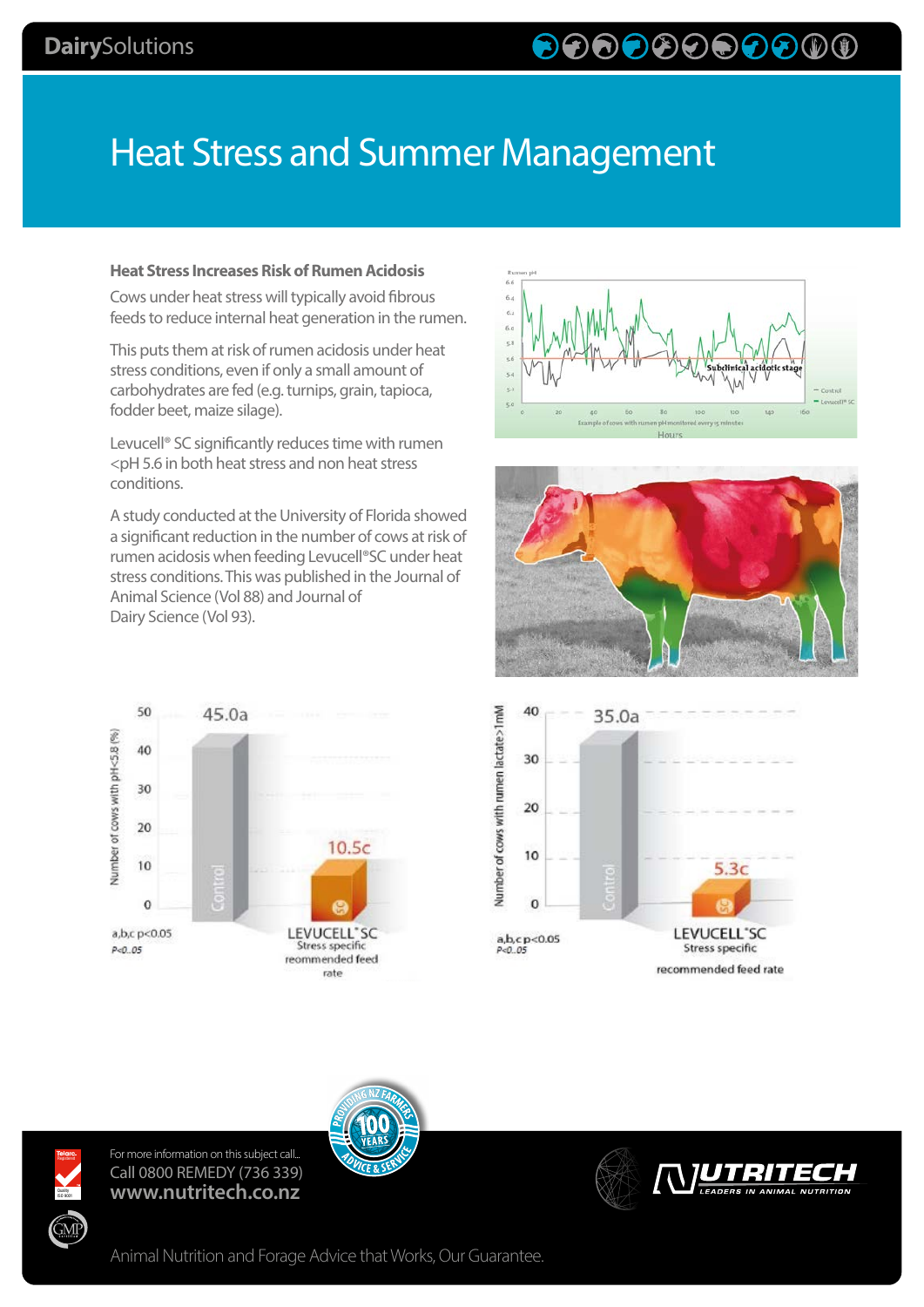# Heat Stress and Summer Management

#### **Heat Stress Increases Risk of Rumen Acidosis**

Cows under heat stress will typically avoid fibrous feeds to reduce internal heat generation in the rumen.

This puts them at risk of rumen acidosis under heat stress conditions, even if only a small amount of carbohydrates are fed (e.g. turnips, grain, tapioca, fodder beet, maize silage).

Levucell® SC significantly reduces time with rumen <pH 5.6 in both heat stress and non heat stress conditions.

A study conducted at the University of Florida showed a significant reduction in the number of cows at risk of rumen acidosis when feeding Levucell®SC under heat stress conditions. This was published in the Journal of Animal Science (Vol 88) and Journal of Dairy Science (Vol 93).









For more information on this subject call... Call 0800 REMEDY (736 339) **www.nutritech.co.nz**

Quality<br>ISO 9001

ŚМ





Animal Nutrition and Forage Advice that Works, Our Guarantee.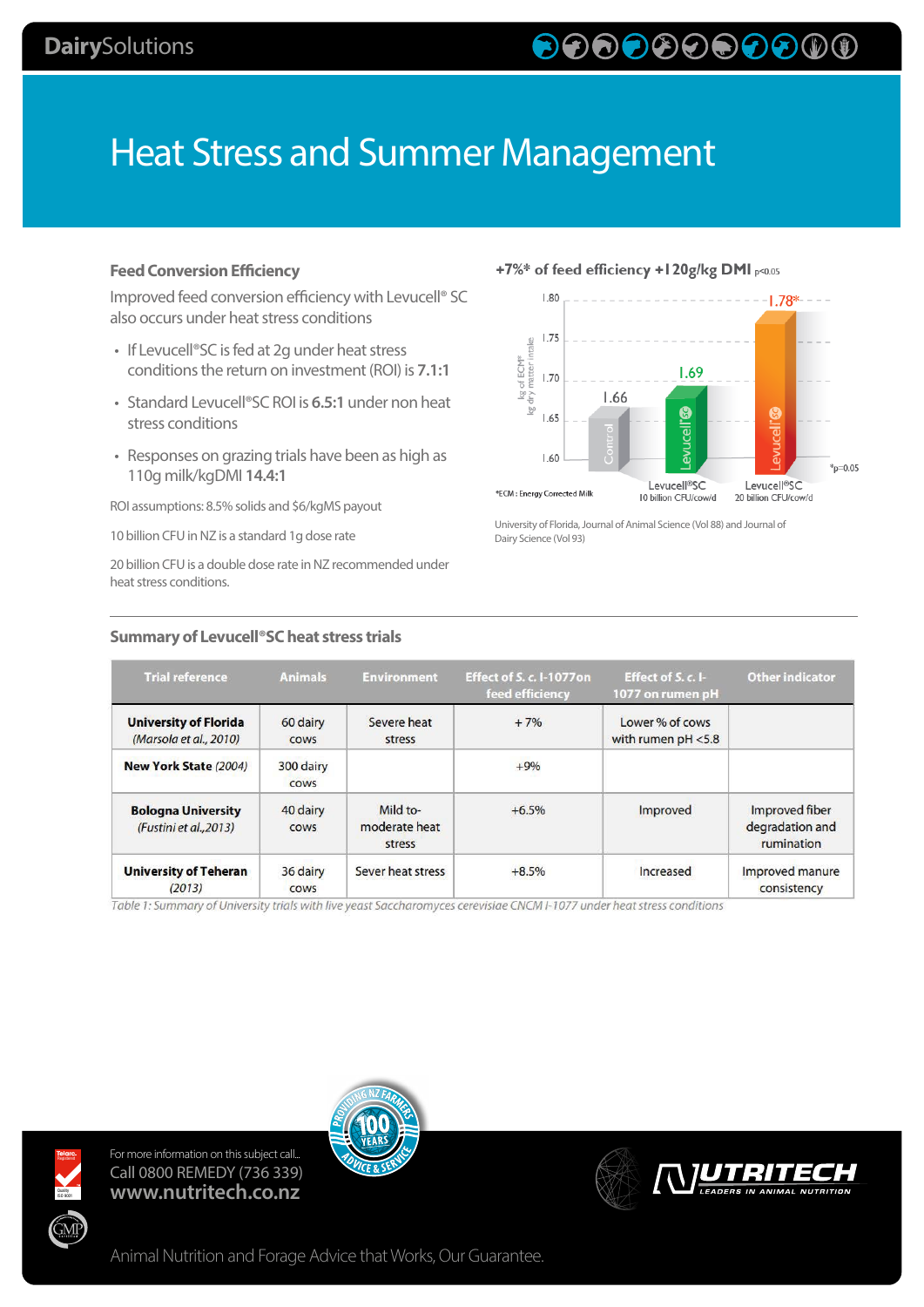# Heat Stress and Summer Management

### **Feed Conversion Efficiency**

Improved feed conversion efficiency with Levucell® SC also occurs under heat stress conditions

- If Levucell®SC is fed at 2g under heat stress conditions the return on investment (ROI) is **7.1:1**
- Standard Levucell®SC ROI is **6.5:1** under non heat stress conditions
- Responses on grazing trials have been as high as 110g milk/kgDMI **14.4:1**

ROI assumptions: 8.5% solids and \$6/kgMS payout

10 billion CFU in NZ is a standard 1g dose rate

20 billion CFU is a double dose rate in NZ recommended under heat stress conditions.

**Summary of Levucell®SC heat stress trials**

## +7%\* of feed efficiency +120g/kg DMI p<0.05



University of Florida, Journal of Animal Science (Vol 88) and Journal of Dairy Science (Vol 93)

| <b>Trial reference</b>                                 | <b>Animals</b>           | <b>Environment</b>                  | <b>Effect of S. c. I-1077on</b><br>feed efficiency | Effect of $S, c$ . I-<br>1077 on rumen pH | <b>Other indicator</b>                          |
|--------------------------------------------------------|--------------------------|-------------------------------------|----------------------------------------------------|-------------------------------------------|-------------------------------------------------|
| <b>University of Florida</b><br>(Marsola et al., 2010) | 60 dairy<br><b>COWS</b>  | Severe heat<br>stress               | $+7%$                                              | Lower % of cows<br>with rumen $pH < 5.8$  |                                                 |
| New York State (2004)                                  | 300 dairy<br><b>COWS</b> |                                     | $+9%$                                              |                                           |                                                 |
| <b>Bologna University</b><br>(Fustini et al., 2013)    | 40 dairy<br><b>COWS</b>  | Mild to-<br>moderate heat<br>stress | $+6.5%$                                            | Improved                                  | Improved fiber<br>degradation and<br>rumination |
| <b>University of Teheran</b><br>(2013)                 | 36 dairy<br><b>COWS</b>  | Sever heat stress                   | $+8.5%$                                            | Increased                                 | Improved manure<br>consistency                  |

Table 1: Summary of University trials with live yeast Saccharomyces cerevisiae CNCM I-1077 under heat stress conditions





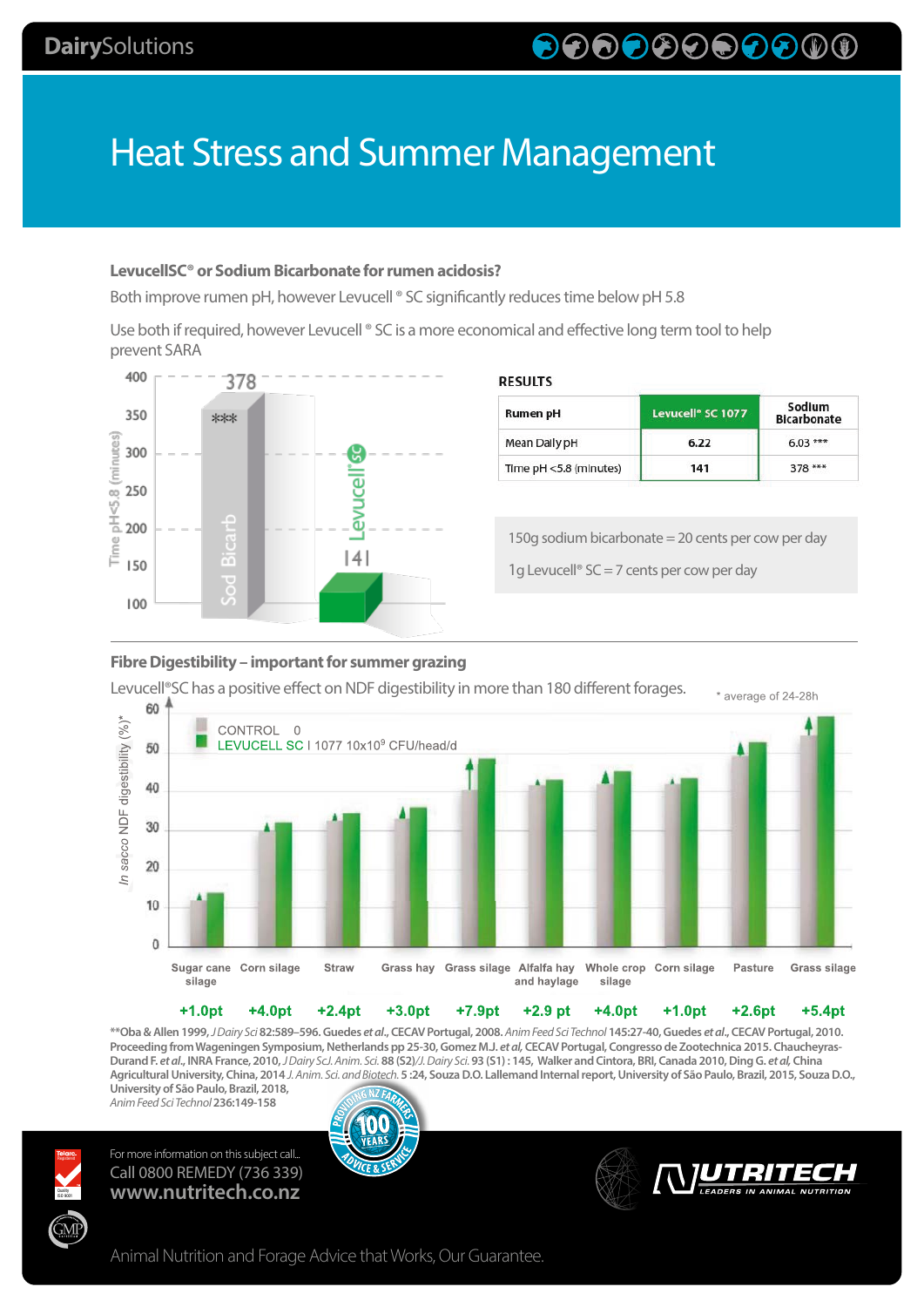# 

# Heat Stress and Summer Management

## **LevucellSC® or Sodium Bicarbonate for rumen acidosis?**

Both improve rumen pH, however Levucell ® SC significantly reduces time below pH 5.8

Use both if required, however Levucell ® SC is a more economical and effective long term tool to help prevent SARA



### **RESULTS**

| Rumen pH               | Levucell <sup>®</sup> SC 1077 | Sodium<br><b>Bicarbonate</b> |
|------------------------|-------------------------------|------------------------------|
| Mean Daily pH          | 6.22                          | $6.03***$                    |
| Time pH <5.8 (minutes) | 141                           | $378***$                     |

150g sodium bicarbonate = 20 cents per cow per day

1g Levucell®  $SC = 7$  cents per cow per day

### **Fibre Digestibility – important for summer grazing**



**\*\*Oba & Allen 1999,** *J Dairy Sci* **82:589–596. Guedes** *et al***., CECAV Portugal, 2008.** *Anim Feed Sci Technol* **145:27-40, Guedes** *et al***., CECAV Portugal, 2010. Proceeding from Wageningen Symposium, Netherlands pp 25-30, Gomez M.J.** *et al,* **CECAV Portugal, Congresso de Zootechnica 2015. Chaucheyras-Durand F.** *et al***., INRA France, 2010,** *J Dairy ScJ. Anim. Sci.* **88 (S2)***/J. Dairy Sci.* **93 (S1) : 145, Walker and Cintora, BRI, Canada 2010, Ding G.** *et al,* **China Agricultural University, China, 2014** *J. Anim. Sci. and Biotech.* **5 :24, Souza D.O. Lallemand Internal report, University of São Paulo, Brazil, 2015, Souza D.O., University of São Paulo, Brazil, 2018,** 

*Anim Feed Sci Technol* **236:149-158**

Quality<br>ISO 9001